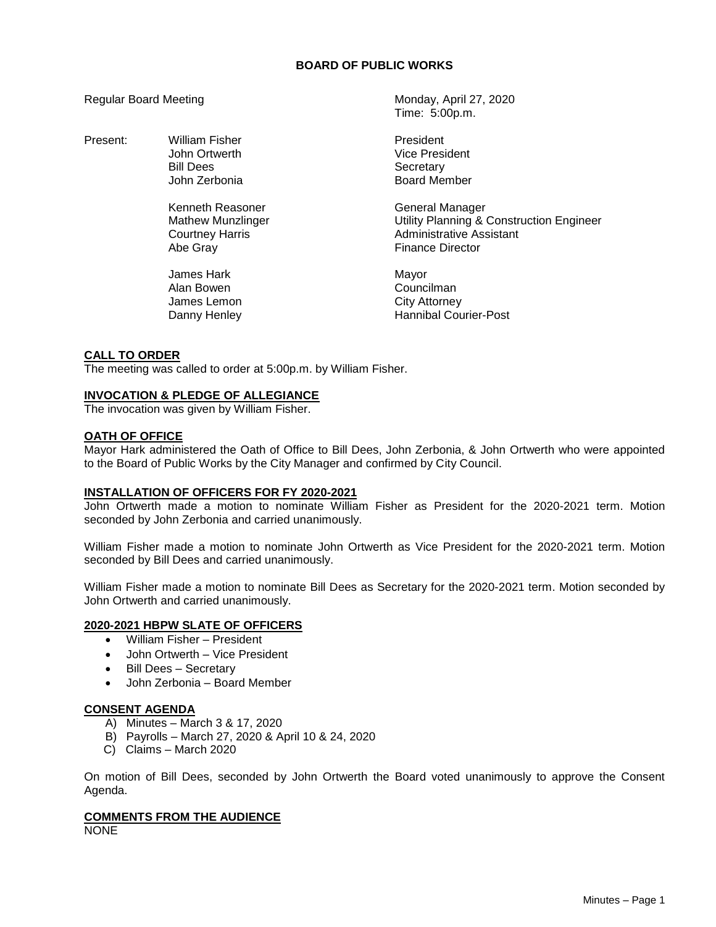# **BOARD OF PUBLIC WORKS**

Present: William Fisher **President** President

Kenneth Reasoner General Manager Abe Gray **Finance Director** 

James Hark Mayor Alan Bowen **Councilman** James Lemon City Attorney

Regular Board Meeting Monday, April 27, 2020 Time: 5:00p.m.

> John Ortwerth **Vice President** Bill Dees<br>John Zerbonia Secretary (Secretary Secretary ) Board Member

Mathew Munzlinger **Muncillum** Utility Planning & Construction Engineer Courtney Harris **Administrative Assistant** 

Danny Henley **Hannibal Courier-Post** 

# **CALL TO ORDER**

The meeting was called to order at 5:00p.m. by William Fisher.

# **INVOCATION & PLEDGE OF ALLEGIANCE**

The invocation was given by William Fisher.

# **OATH OF OFFICE**

Mayor Hark administered the Oath of Office to Bill Dees, John Zerbonia, & John Ortwerth who were appointed to the Board of Public Works by the City Manager and confirmed by City Council.

# **INSTALLATION OF OFFICERS FOR FY 2020-2021**

John Ortwerth made a motion to nominate William Fisher as President for the 2020-2021 term. Motion seconded by John Zerbonia and carried unanimously.

William Fisher made a motion to nominate John Ortwerth as Vice President for the 2020-2021 term. Motion seconded by Bill Dees and carried unanimously.

William Fisher made a motion to nominate Bill Dees as Secretary for the 2020-2021 term. Motion seconded by John Ortwerth and carried unanimously.

# **2020-2021 HBPW SLATE OF OFFICERS**

- William Fisher President
- John Ortwerth Vice President
- Bill Dees Secretary
- John Zerbonia Board Member

# **CONSENT AGENDA**

- A) Minutes March 3 & 17, 2020
- B) Payrolls March 27, 2020 & April 10 & 24, 2020
- C) Claims March 2020

On motion of Bill Dees, seconded by John Ortwerth the Board voted unanimously to approve the Consent Agenda.

# **COMMENTS FROM THE AUDIENCE**

NONE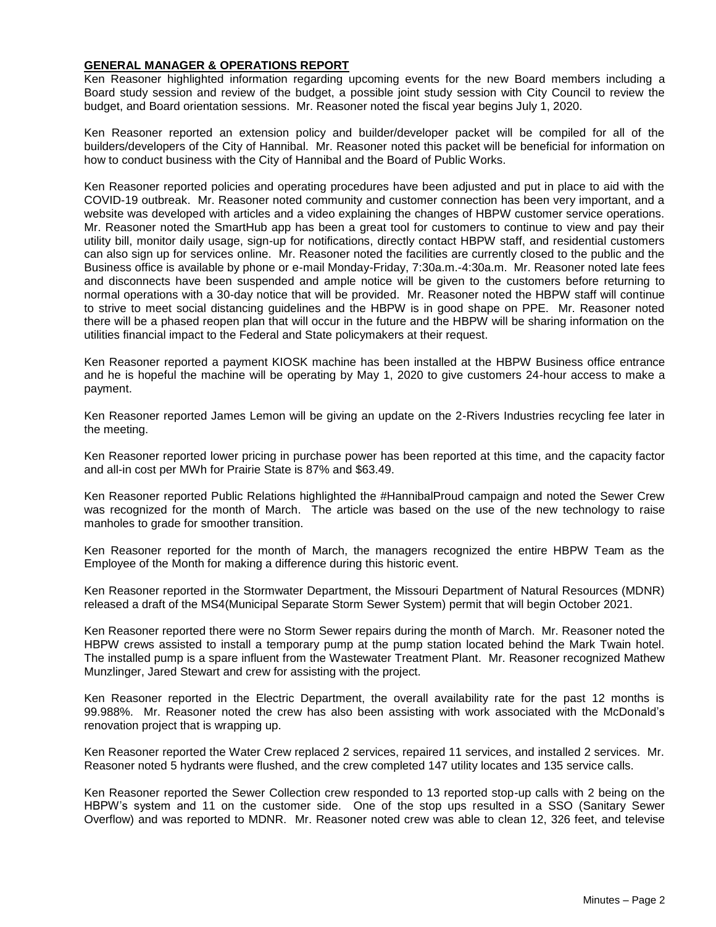# **GENERAL MANAGER & OPERATIONS REPORT**

Ken Reasoner highlighted information regarding upcoming events for the new Board members including a Board study session and review of the budget, a possible joint study session with City Council to review the budget, and Board orientation sessions. Mr. Reasoner noted the fiscal year begins July 1, 2020.

Ken Reasoner reported an extension policy and builder/developer packet will be compiled for all of the builders/developers of the City of Hannibal. Mr. Reasoner noted this packet will be beneficial for information on how to conduct business with the City of Hannibal and the Board of Public Works.

Ken Reasoner reported policies and operating procedures have been adjusted and put in place to aid with the COVID-19 outbreak. Mr. Reasoner noted community and customer connection has been very important, and a website was developed with articles and a video explaining the changes of HBPW customer service operations. Mr. Reasoner noted the SmartHub app has been a great tool for customers to continue to view and pay their utility bill, monitor daily usage, sign-up for notifications, directly contact HBPW staff, and residential customers can also sign up for services online. Mr. Reasoner noted the facilities are currently closed to the public and the Business office is available by phone or e-mail Monday-Friday, 7:30a.m.-4:30a.m. Mr. Reasoner noted late fees and disconnects have been suspended and ample notice will be given to the customers before returning to normal operations with a 30-day notice that will be provided. Mr. Reasoner noted the HBPW staff will continue to strive to meet social distancing guidelines and the HBPW is in good shape on PPE. Mr. Reasoner noted there will be a phased reopen plan that will occur in the future and the HBPW will be sharing information on the utilities financial impact to the Federal and State policymakers at their request.

Ken Reasoner reported a payment KIOSK machine has been installed at the HBPW Business office entrance and he is hopeful the machine will be operating by May 1, 2020 to give customers 24-hour access to make a payment.

Ken Reasoner reported James Lemon will be giving an update on the 2-Rivers Industries recycling fee later in the meeting.

Ken Reasoner reported lower pricing in purchase power has been reported at this time, and the capacity factor and all-in cost per MWh for Prairie State is 87% and \$63.49.

Ken Reasoner reported Public Relations highlighted the #HannibalProud campaign and noted the Sewer Crew was recognized for the month of March. The article was based on the use of the new technology to raise manholes to grade for smoother transition.

Ken Reasoner reported for the month of March, the managers recognized the entire HBPW Team as the Employee of the Month for making a difference during this historic event.

Ken Reasoner reported in the Stormwater Department, the Missouri Department of Natural Resources (MDNR) released a draft of the MS4(Municipal Separate Storm Sewer System) permit that will begin October 2021.

Ken Reasoner reported there were no Storm Sewer repairs during the month of March. Mr. Reasoner noted the HBPW crews assisted to install a temporary pump at the pump station located behind the Mark Twain hotel. The installed pump is a spare influent from the Wastewater Treatment Plant. Mr. Reasoner recognized Mathew Munzlinger, Jared Stewart and crew for assisting with the project.

Ken Reasoner reported in the Electric Department, the overall availability rate for the past 12 months is 99.988%. Mr. Reasoner noted the crew has also been assisting with work associated with the McDonald's renovation project that is wrapping up.

Ken Reasoner reported the Water Crew replaced 2 services, repaired 11 services, and installed 2 services. Mr. Reasoner noted 5 hydrants were flushed, and the crew completed 147 utility locates and 135 service calls.

Ken Reasoner reported the Sewer Collection crew responded to 13 reported stop-up calls with 2 being on the HBPW's system and 11 on the customer side. One of the stop ups resulted in a SSO (Sanitary Sewer Overflow) and was reported to MDNR. Mr. Reasoner noted crew was able to clean 12, 326 feet, and televise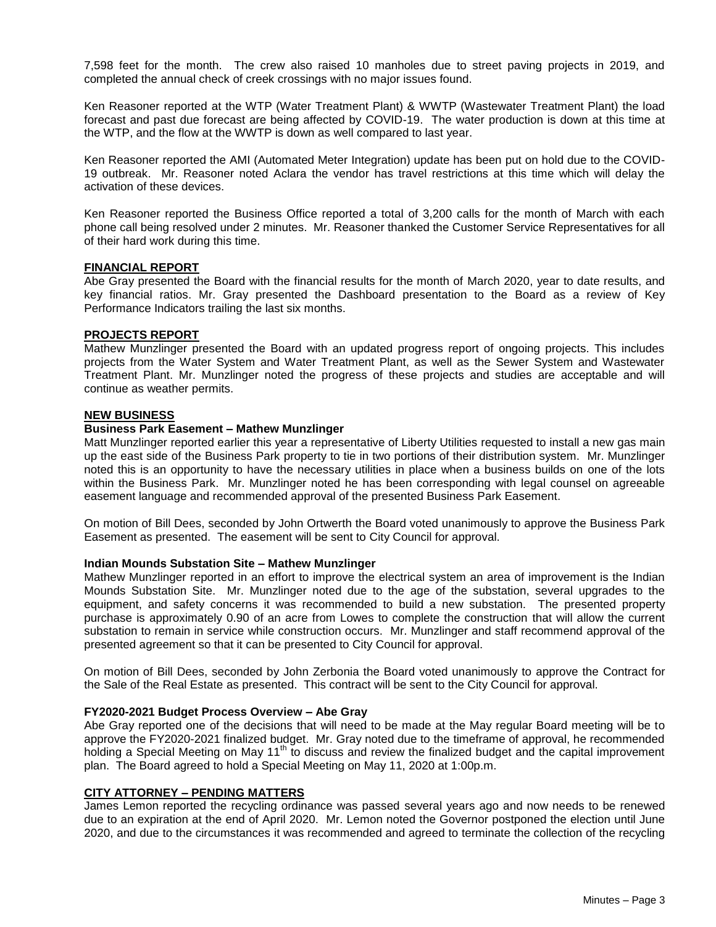7,598 feet for the month. The crew also raised 10 manholes due to street paving projects in 2019, and completed the annual check of creek crossings with no major issues found.

Ken Reasoner reported at the WTP (Water Treatment Plant) & WWTP (Wastewater Treatment Plant) the load forecast and past due forecast are being affected by COVID-19. The water production is down at this time at the WTP, and the flow at the WWTP is down as well compared to last year.

Ken Reasoner reported the AMI (Automated Meter Integration) update has been put on hold due to the COVID-19 outbreak. Mr. Reasoner noted Aclara the vendor has travel restrictions at this time which will delay the activation of these devices.

Ken Reasoner reported the Business Office reported a total of 3,200 calls for the month of March with each phone call being resolved under 2 minutes. Mr. Reasoner thanked the Customer Service Representatives for all of their hard work during this time.

### **FINANCIAL REPORT**

Abe Gray presented the Board with the financial results for the month of March 2020, year to date results, and key financial ratios. Mr. Gray presented the Dashboard presentation to the Board as a review of Key Performance Indicators trailing the last six months.

### **PROJECTS REPORT**

Mathew Munzlinger presented the Board with an updated progress report of ongoing projects. This includes projects from the Water System and Water Treatment Plant, as well as the Sewer System and Wastewater Treatment Plant. Mr. Munzlinger noted the progress of these projects and studies are acceptable and will continue as weather permits.

#### **NEW BUSINESS**

### **Business Park Easement – Mathew Munzlinger**

Matt Munzlinger reported earlier this year a representative of Liberty Utilities requested to install a new gas main up the east side of the Business Park property to tie in two portions of their distribution system. Mr. Munzlinger noted this is an opportunity to have the necessary utilities in place when a business builds on one of the lots within the Business Park. Mr. Munzlinger noted he has been corresponding with legal counsel on agreeable easement language and recommended approval of the presented Business Park Easement.

On motion of Bill Dees, seconded by John Ortwerth the Board voted unanimously to approve the Business Park Easement as presented. The easement will be sent to City Council for approval.

#### **Indian Mounds Substation Site – Mathew Munzlinger**

Mathew Munzlinger reported in an effort to improve the electrical system an area of improvement is the Indian Mounds Substation Site. Mr. Munzlinger noted due to the age of the substation, several upgrades to the equipment, and safety concerns it was recommended to build a new substation. The presented property purchase is approximately 0.90 of an acre from Lowes to complete the construction that will allow the current substation to remain in service while construction occurs. Mr. Munzlinger and staff recommend approval of the presented agreement so that it can be presented to City Council for approval.

On motion of Bill Dees, seconded by John Zerbonia the Board voted unanimously to approve the Contract for the Sale of the Real Estate as presented. This contract will be sent to the City Council for approval.

#### **FY2020-2021 Budget Process Overview – Abe Gray**

Abe Gray reported one of the decisions that will need to be made at the May regular Board meeting will be to approve the FY2020-2021 finalized budget. Mr. Gray noted due to the timeframe of approval, he recommended holding a Special Meeting on May 11<sup>th</sup> to discuss and review the finalized budget and the capital improvement plan. The Board agreed to hold a Special Meeting on May 11, 2020 at 1:00p.m.

# **CITY ATTORNEY – PENDING MATTERS**

James Lemon reported the recycling ordinance was passed several years ago and now needs to be renewed due to an expiration at the end of April 2020. Mr. Lemon noted the Governor postponed the election until June 2020, and due to the circumstances it was recommended and agreed to terminate the collection of the recycling